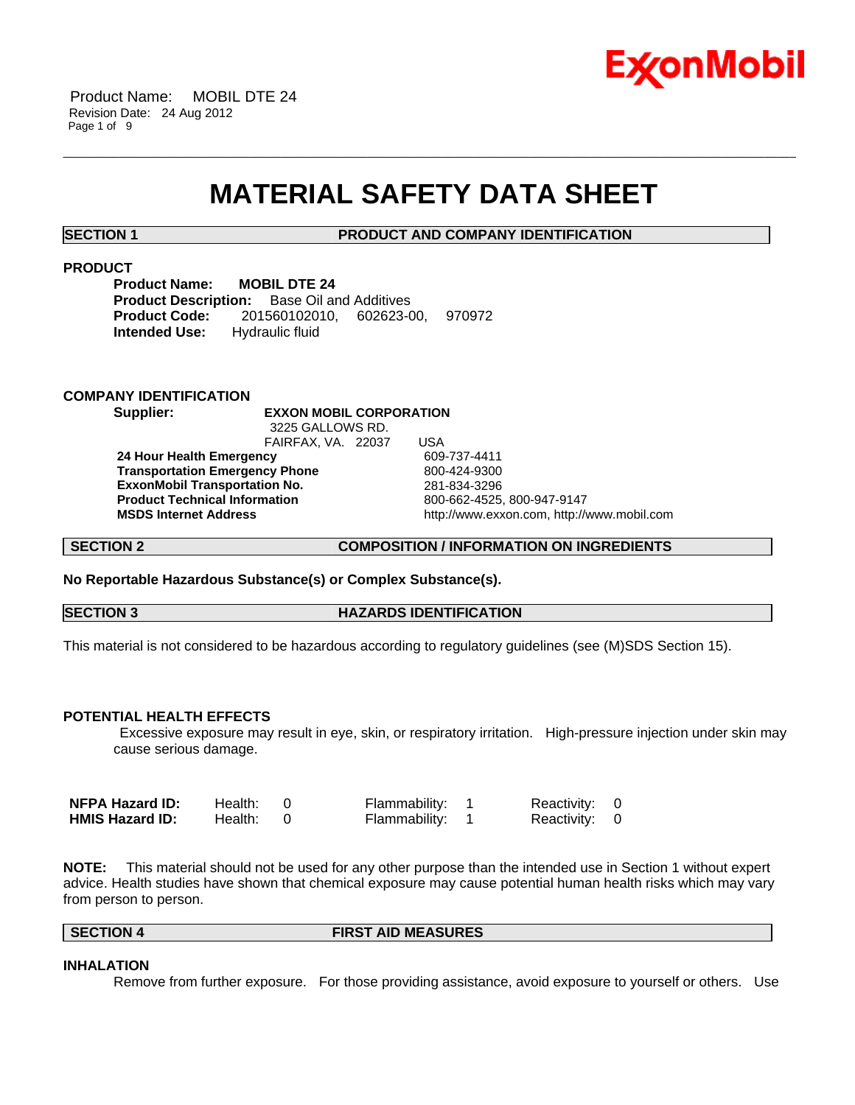

## **MATERIAL SAFETY DATA SHEET**

\_\_\_\_\_\_\_\_\_\_\_\_\_\_\_\_\_\_\_\_\_\_\_\_\_\_\_\_\_\_\_\_\_\_\_\_\_\_\_\_\_\_\_\_\_\_\_\_\_\_\_\_\_\_\_\_\_\_\_\_\_\_\_\_\_\_\_\_\_\_\_\_\_\_\_\_\_\_\_\_\_\_\_\_\_\_\_\_\_\_\_\_\_\_\_\_\_\_\_\_\_\_\_\_\_\_\_\_\_\_\_\_\_\_\_\_\_\_

**SECTION 1 PRODUCT AND COMPANY IDENTIFICATION**

#### **PRODUCT**

| <b>Product Name:</b> | <b>MOBIL DTE 24</b>                                |        |
|----------------------|----------------------------------------------------|--------|
|                      | <b>Product Description:</b> Base Oil and Additives |        |
|                      | <b>Product Code:</b> 201560102010. 602623-00.      | 970972 |
| Intended Use:        | Hydraulic fluid                                    |        |

#### **COMPANY IDENTIFICATION**

**Supplier: EXXON MOBIL CORPORATION** 3225 GALLOWS RD.

FAIRFAX, VA. 22037 USA  **24 Hour Health Emergency** 609-737-4411 **Transportation Emergency Phone** 800-424-9300  **ExxonMobil Transportation No.** 281-834-3296 **Product Technical Information** <br> **MSDS Internet Address MSDS Internet Address CONFINED EXECUTE:**  $\frac{1}{2}$  **CONFINED CONFINED CONFINED** 

 **MSDS Internet Address** http://www.exxon.com, http://www.mobil.com

**SECTION 2 COMPOSITION / INFORMATION ON INGREDIENTS**

**No Reportable Hazardous Substance(s) or Complex Substance(s).**

**SECTION 3 HAZARDS IDENTIFICATION** 

This material is not considered to be hazardous according to regulatory guidelines (see (M)SDS Section 15).

### **POTENTIAL HEALTH EFFECTS**

 Excessive exposure may result in eye, skin, or respiratory irritation. High-pressure injection under skin may cause serious damage.

| NFPA Hazard ID:        | Health: 0 | Flammability: 1 | Reactivity: 0 |  |
|------------------------|-----------|-----------------|---------------|--|
| <b>HMIS Hazard ID:</b> | Health: 0 | Flammability: 1 | Reactivity: 0 |  |

**NOTE:** This material should not be used for any other purpose than the intended use in Section 1 without expert advice. Health studies have shown that chemical exposure may cause potential human health risks which may vary from person to person.

#### **SECTION 4 FIRST AID MEASURES**

### **INHALATION**

Remove from further exposure. For those providing assistance, avoid exposure to yourself or others. Use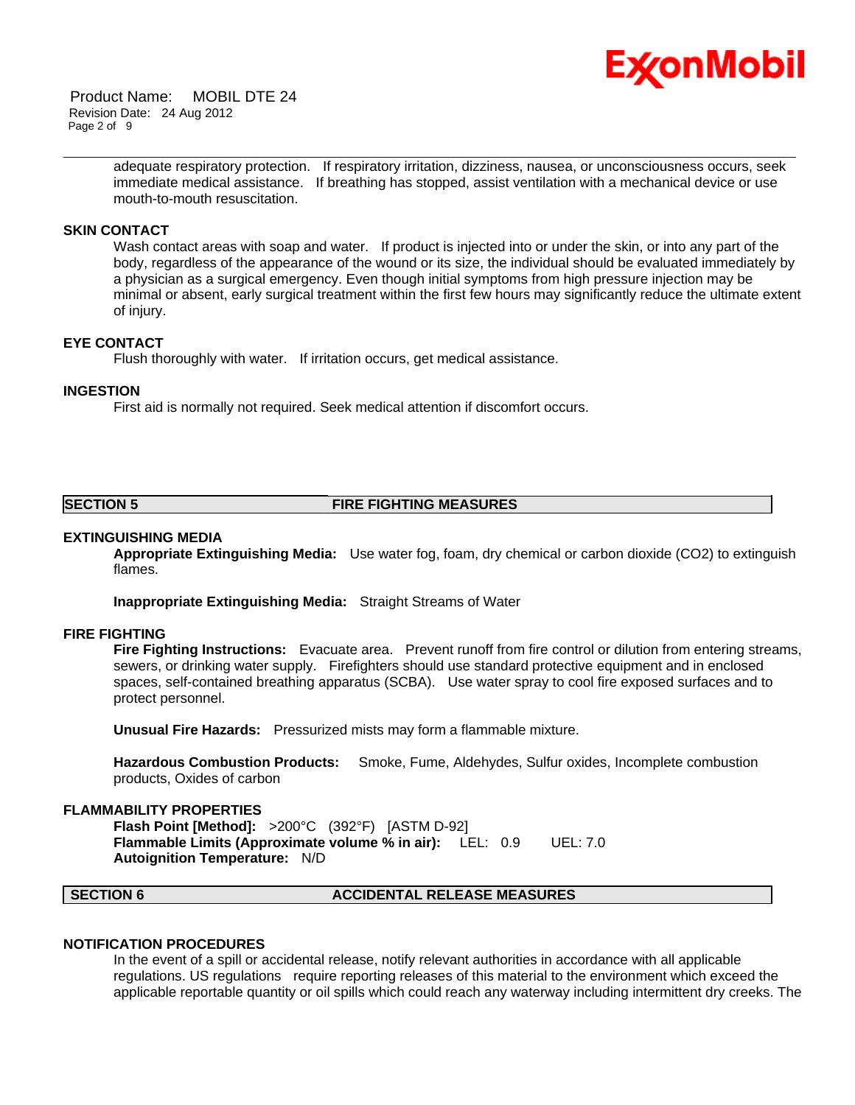

 Product Name: MOBIL DTE 24 Revision Date: 24 Aug 2012 Page 2 of 9

> adequate respiratory protection. If respiratory irritation, dizziness, nausea, or unconsciousness occurs, seek immediate medical assistance. If breathing has stopped, assist ventilation with a mechanical device or use mouth-to-mouth resuscitation.

\_\_\_\_\_\_\_\_\_\_\_\_\_\_\_\_\_\_\_\_\_\_\_\_\_\_\_\_\_\_\_\_\_\_\_\_\_\_\_\_\_\_\_\_\_\_\_\_\_\_\_\_\_\_\_\_\_\_\_\_\_\_\_\_\_\_\_\_\_\_\_\_\_\_\_\_\_\_\_\_\_\_\_\_\_\_\_\_\_\_\_\_\_\_\_\_\_\_\_\_\_\_\_\_\_\_\_\_\_\_\_\_\_\_\_\_\_\_

#### **SKIN CONTACT**

Wash contact areas with soap and water. If product is injected into or under the skin, or into any part of the body, regardless of the appearance of the wound or its size, the individual should be evaluated immediately by a physician as a surgical emergency. Even though initial symptoms from high pressure injection may be minimal or absent, early surgical treatment within the first few hours may significantly reduce the ultimate extent of injury.

#### **EYE CONTACT**

Flush thoroughly with water. If irritation occurs, get medical assistance.

#### **INGESTION**

First aid is normally not required. Seek medical attention if discomfort occurs.

#### **SECTION 5 FIRE FIGHTING MEASURES**

#### **EXTINGUISHING MEDIA**

**Appropriate Extinguishing Media:** Use water fog, foam, dry chemical or carbon dioxide (CO2) to extinguish flames.

**Inappropriate Extinguishing Media:** Straight Streams of Water

#### **FIRE FIGHTING**

**Fire Fighting Instructions:** Evacuate area. Prevent runoff from fire control or dilution from entering streams, sewers, or drinking water supply. Firefighters should use standard protective equipment and in enclosed spaces, self-contained breathing apparatus (SCBA). Use water spray to cool fire exposed surfaces and to protect personnel.

**Unusual Fire Hazards:** Pressurized mists may form a flammable mixture.

**Hazardous Combustion Products:** Smoke, Fume, Aldehydes, Sulfur oxides, Incomplete combustion products, Oxides of carbon

#### **FLAMMABILITY PROPERTIES**

**Flash Point [Method]:** >200°C (392°F) [ASTM D-92] **Flammable Limits (Approximate volume % in air):** LEL: 0.9 UEL: 7.0 **Autoignition Temperature:** N/D

#### **SECTION 6 ACCIDENTAL RELEASE MEASURES**

#### **NOTIFICATION PROCEDURES**

In the event of a spill or accidental release, notify relevant authorities in accordance with all applicable regulations. US regulations require reporting releases of this material to the environment which exceed the applicable reportable quantity or oil spills which could reach any waterway including intermittent dry creeks. The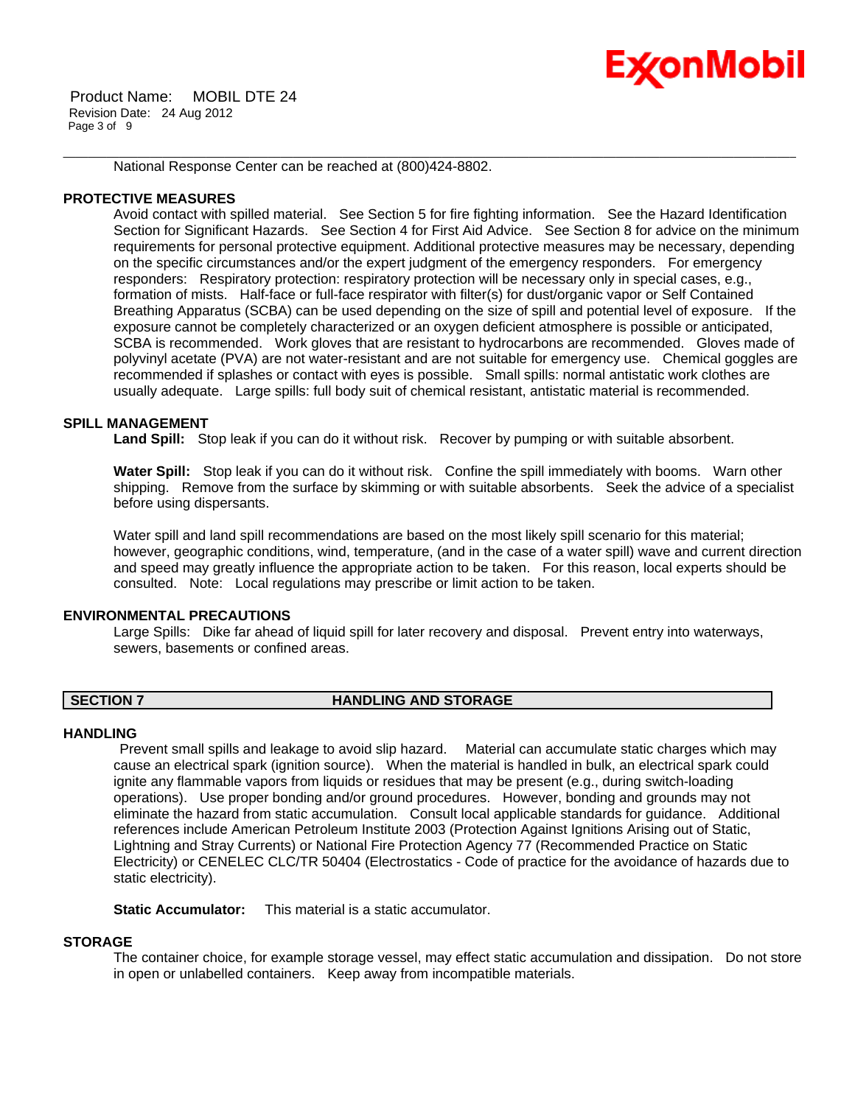# Ex⁄onMobil

 Product Name: MOBIL DTE 24 Revision Date: 24 Aug 2012 Page 3 of 9

National Response Center can be reached at (800)424-8802.

### **PROTECTIVE MEASURES**

Avoid contact with spilled material. See Section 5 for fire fighting information. See the Hazard Identification Section for Significant Hazards. See Section 4 for First Aid Advice. See Section 8 for advice on the minimum requirements for personal protective equipment. Additional protective measures may be necessary, depending on the specific circumstances and/or the expert judgment of the emergency responders. For emergency responders: Respiratory protection: respiratory protection will be necessary only in special cases, e.g., formation of mists. Half-face or full-face respirator with filter(s) for dust/organic vapor or Self Contained Breathing Apparatus (SCBA) can be used depending on the size of spill and potential level of exposure. If the exposure cannot be completely characterized or an oxygen deficient atmosphere is possible or anticipated, SCBA is recommended. Work gloves that are resistant to hydrocarbons are recommended. Gloves made of polyvinyl acetate (PVA) are not water-resistant and are not suitable for emergency use. Chemical goggles are recommended if splashes or contact with eyes is possible. Small spills: normal antistatic work clothes are usually adequate. Large spills: full body suit of chemical resistant, antistatic material is recommended.

\_\_\_\_\_\_\_\_\_\_\_\_\_\_\_\_\_\_\_\_\_\_\_\_\_\_\_\_\_\_\_\_\_\_\_\_\_\_\_\_\_\_\_\_\_\_\_\_\_\_\_\_\_\_\_\_\_\_\_\_\_\_\_\_\_\_\_\_\_\_\_\_\_\_\_\_\_\_\_\_\_\_\_\_\_\_\_\_\_\_\_\_\_\_\_\_\_\_\_\_\_\_\_\_\_\_\_\_\_\_\_\_\_\_\_\_\_\_

### **SPILL MANAGEMENT**

Land Spill: Stop leak if you can do it without risk. Recover by pumping or with suitable absorbent.

**Water Spill:** Stop leak if you can do it without risk. Confine the spill immediately with booms. Warn other shipping. Remove from the surface by skimming or with suitable absorbents. Seek the advice of a specialist before using dispersants.

Water spill and land spill recommendations are based on the most likely spill scenario for this material; however, geographic conditions, wind, temperature, (and in the case of a water spill) wave and current direction and speed may greatly influence the appropriate action to be taken. For this reason, local experts should be consulted. Note: Local regulations may prescribe or limit action to be taken.

### **ENVIRONMENTAL PRECAUTIONS**

Large Spills: Dike far ahead of liquid spill for later recovery and disposal. Prevent entry into waterways, sewers, basements or confined areas.

### **SECTION 7 HANDLING AND STORAGE**

### **HANDLING**

 Prevent small spills and leakage to avoid slip hazard. Material can accumulate static charges which may cause an electrical spark (ignition source). When the material is handled in bulk, an electrical spark could ignite any flammable vapors from liquids or residues that may be present (e.g., during switch-loading operations). Use proper bonding and/or ground procedures. However, bonding and grounds may not eliminate the hazard from static accumulation. Consult local applicable standards for guidance. Additional references include American Petroleum Institute 2003 (Protection Against Ignitions Arising out of Static, Lightning and Stray Currents) or National Fire Protection Agency 77 (Recommended Practice on Static Electricity) or CENELEC CLC/TR 50404 (Electrostatics - Code of practice for the avoidance of hazards due to static electricity).

**Static Accumulator:** This material is a static accumulator.

### **STORAGE**

The container choice, for example storage vessel, may effect static accumulation and dissipation. Do not store in open or unlabelled containers. Keep away from incompatible materials.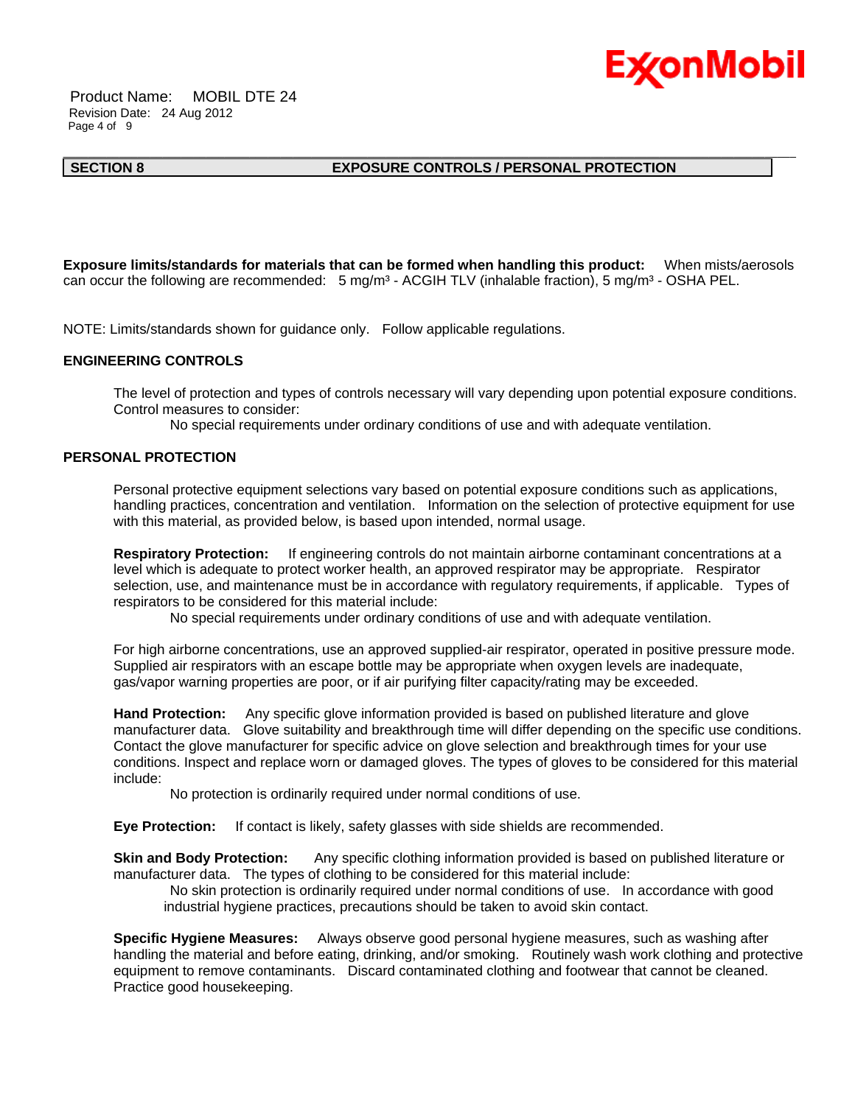

 Product Name: MOBIL DTE 24 Revision Date: 24 Aug 2012 Page 4 of 9

#### **SECTION 8 EXPOSURE CONTROLS / PERSONAL PROTECTION**

**Exposure limits/standards for materials that can be formed when handling this product:** When mists/aerosols can occur the following are recommended: 5 mg/m<sup>3</sup> - ACGIH TLV (inhalable fraction), 5 mg/m<sup>3</sup> - OSHA PEL.

\_\_\_\_\_\_\_\_\_\_\_\_\_\_\_\_\_\_\_\_\_\_\_\_\_\_\_\_\_\_\_\_\_\_\_\_\_\_\_\_\_\_\_\_\_\_\_\_\_\_\_\_\_\_\_\_\_\_\_\_\_\_\_\_\_\_\_\_\_\_\_\_\_\_\_\_\_\_\_\_\_\_\_\_\_\_\_\_\_\_\_\_\_\_\_\_\_\_\_\_\_\_\_\_\_\_\_\_\_\_\_\_\_\_\_\_\_\_

NOTE: Limits/standards shown for guidance only. Follow applicable regulations.

#### **ENGINEERING CONTROLS**

The level of protection and types of controls necessary will vary depending upon potential exposure conditions. Control measures to consider:

No special requirements under ordinary conditions of use and with adequate ventilation.

#### **PERSONAL PROTECTION**

Personal protective equipment selections vary based on potential exposure conditions such as applications, handling practices, concentration and ventilation. Information on the selection of protective equipment for use with this material, as provided below, is based upon intended, normal usage.

**Respiratory Protection:** If engineering controls do not maintain airborne contaminant concentrations at a level which is adequate to protect worker health, an approved respirator may be appropriate. Respirator selection, use, and maintenance must be in accordance with regulatory requirements, if applicable. Types of respirators to be considered for this material include:

No special requirements under ordinary conditions of use and with adequate ventilation.

For high airborne concentrations, use an approved supplied-air respirator, operated in positive pressure mode. Supplied air respirators with an escape bottle may be appropriate when oxygen levels are inadequate, gas/vapor warning properties are poor, or if air purifying filter capacity/rating may be exceeded.

**Hand Protection:** Any specific glove information provided is based on published literature and glove manufacturer data. Glove suitability and breakthrough time will differ depending on the specific use conditions. Contact the glove manufacturer for specific advice on glove selection and breakthrough times for your use conditions. Inspect and replace worn or damaged gloves. The types of gloves to be considered for this material include:

No protection is ordinarily required under normal conditions of use.

**Eye Protection:** If contact is likely, safety glasses with side shields are recommended.

**Skin and Body Protection:** Any specific clothing information provided is based on published literature or manufacturer data. The types of clothing to be considered for this material include:

 No skin protection is ordinarily required under normal conditions of use. In accordance with good industrial hygiene practices, precautions should be taken to avoid skin contact.

**Specific Hygiene Measures:** Always observe good personal hygiene measures, such as washing after handling the material and before eating, drinking, and/or smoking. Routinely wash work clothing and protective equipment to remove contaminants. Discard contaminated clothing and footwear that cannot be cleaned. Practice good housekeeping.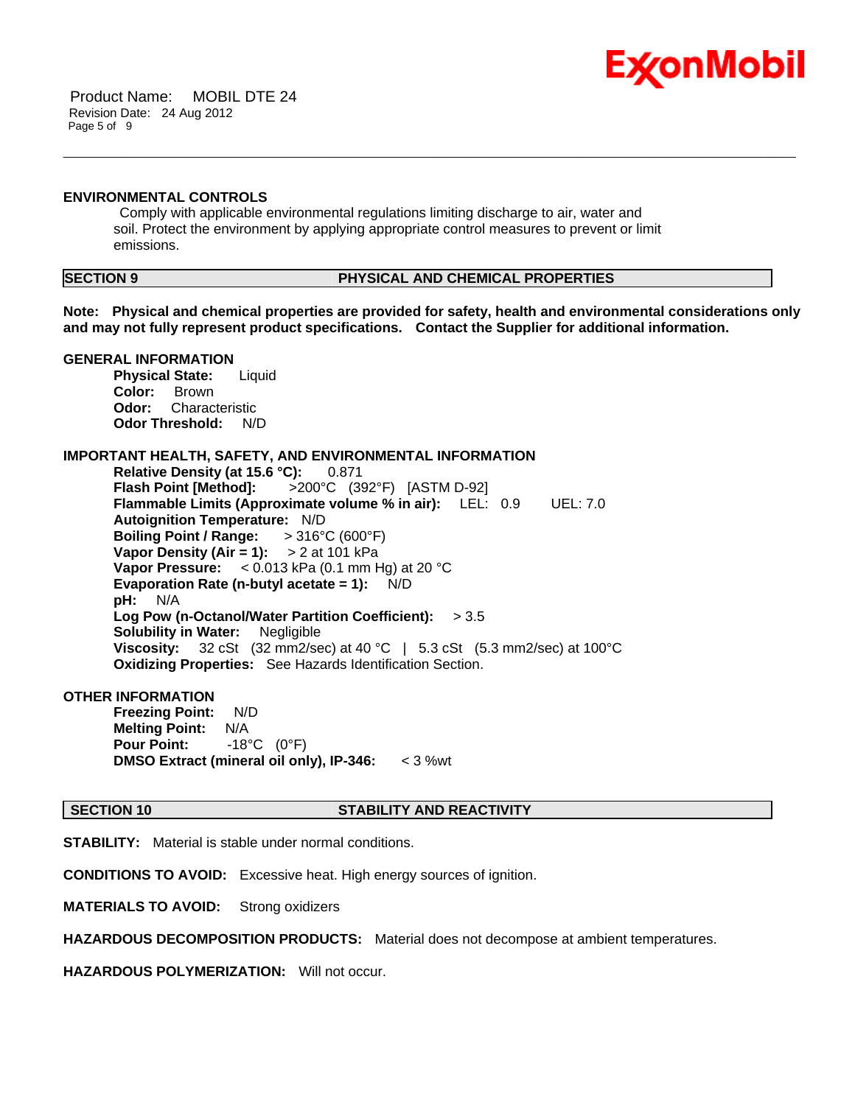

 Product Name: MOBIL DTE 24 Revision Date: 24 Aug 2012 Page 5 of 9

#### **ENVIRONMENTAL CONTROLS**

 Comply with applicable environmental regulations limiting discharge to air, water and soil. Protect the environment by applying appropriate control measures to prevent or limit emissions.

### **SECTION 9 PHYSICAL AND CHEMICAL PROPERTIES**

**Note: Physical and chemical properties are provided for safety, health and environmental considerations only and may not fully represent product specifications. Contact the Supplier for additional information.**

\_\_\_\_\_\_\_\_\_\_\_\_\_\_\_\_\_\_\_\_\_\_\_\_\_\_\_\_\_\_\_\_\_\_\_\_\_\_\_\_\_\_\_\_\_\_\_\_\_\_\_\_\_\_\_\_\_\_\_\_\_\_\_\_\_\_\_\_\_\_\_\_\_\_\_\_\_\_\_\_\_\_\_\_\_\_\_\_\_\_\_\_\_\_\_\_\_\_\_\_\_\_\_\_\_\_\_\_\_\_\_\_\_\_\_\_\_\_

#### **GENERAL INFORMATION**

**Physical State:** Liquid **Color:** Brown **Odor:** Characteristic **Odor Threshold:** N/D

### **IMPORTANT HEALTH, SAFETY, AND ENVIRONMENTAL INFORMATION**

**Relative Density (at 15.6 °C):** 0.871 **Flash Point [Method]:** >200°C (392°F) [ASTM D-92] **Flammable Limits (Approximate volume % in air):** LEL: 0.9 UEL: 7.0 **Autoignition Temperature:** N/D **Boiling Point / Range:** > 316°C (600°F) **Vapor Density (Air = 1):** > 2 at 101 kPa **Vapor Pressure:** < 0.013 kPa (0.1 mm Hg) at 20 °C **Evaporation Rate (n-butyl acetate = 1):** N/D **pH:** N/A **Log Pow (n-Octanol/Water Partition Coefficient):** > 3.5 **Solubility in Water:** Negligible **Viscosity:** 32 cSt (32 mm2/sec) at 40 °C | 5.3 cSt (5.3 mm2/sec) at 100°C **Oxidizing Properties:** See Hazards Identification Section.

#### **OTHER INFORMATION**

**Freezing Point:** N/D **Melting Point:** N/A **Pour Point:** -18°C (0°F) **DMSO Extract (mineral oil only), IP-346:** < 3 %wt

#### **SECTION 10 STABILITY AND REACTIVITY**

**STABILITY:** Material is stable under normal conditions.

**CONDITIONS TO AVOID:** Excessive heat. High energy sources of ignition.

**MATERIALS TO AVOID:** Strong oxidizers

**HAZARDOUS DECOMPOSITION PRODUCTS:** Material does not decompose at ambient temperatures.

**HAZARDOUS POLYMERIZATION:** Will not occur.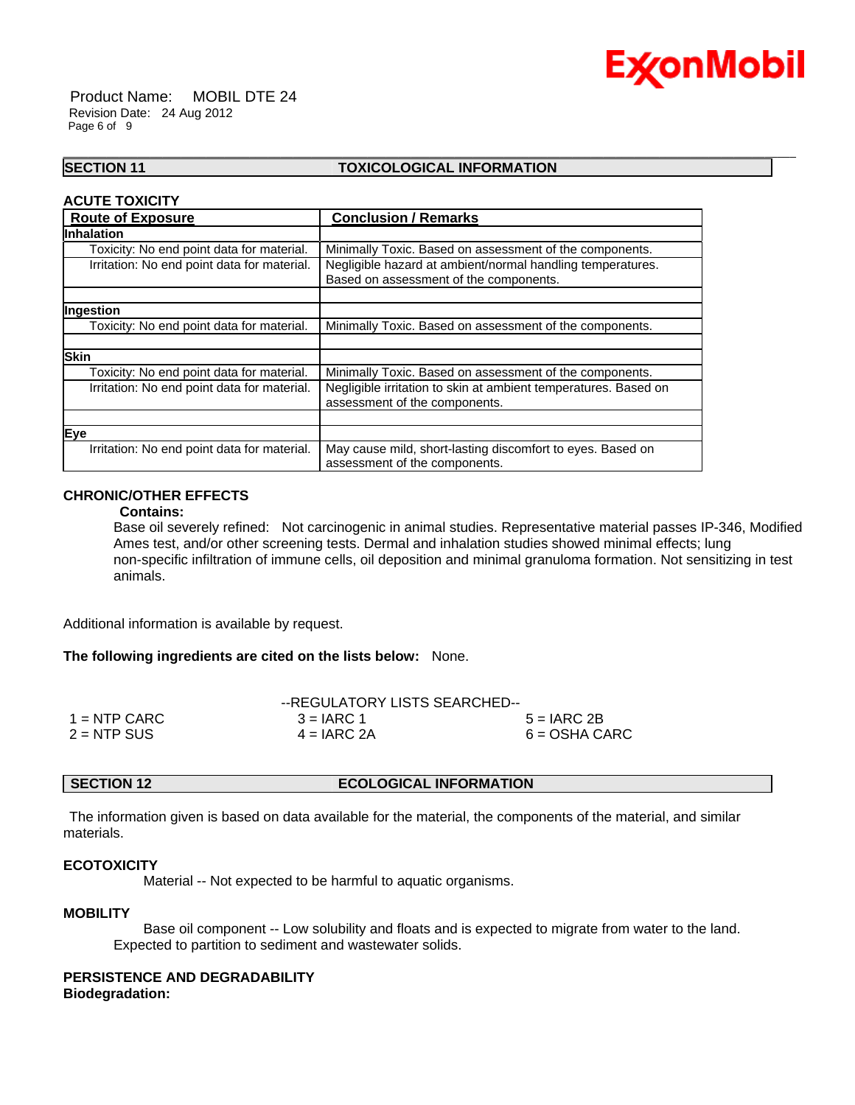

 Product Name: MOBIL DTE 24 Revision Date: 24 Aug 2012 Page 6 of 9

### **SECTION 11 TOXICOLOGICAL INFORMATION**

\_\_\_\_\_\_\_\_\_\_\_\_\_\_\_\_\_\_\_\_\_\_\_\_\_\_\_\_\_\_\_\_\_\_\_\_\_\_\_\_\_\_\_\_\_\_\_\_\_\_\_\_\_\_\_\_\_\_\_\_\_\_\_\_\_\_\_\_\_\_\_\_\_\_\_\_\_\_\_\_\_\_\_\_\_\_\_\_\_\_\_\_\_\_\_\_\_\_\_\_\_\_\_\_\_\_\_\_\_\_\_\_\_\_\_\_\_\_

#### **ACUTE TOXICITY**

| <b>Route of Exposure</b>                    | <b>Conclusion / Remarks</b>                                     |
|---------------------------------------------|-----------------------------------------------------------------|
| <b>Inhalation</b>                           |                                                                 |
| Toxicity: No end point data for material.   | Minimally Toxic. Based on assessment of the components.         |
| Irritation: No end point data for material. | Negligible hazard at ambient/normal handling temperatures.      |
|                                             | Based on assessment of the components.                          |
|                                             |                                                                 |
| Ingestion                                   |                                                                 |
| Toxicity: No end point data for material.   | Minimally Toxic. Based on assessment of the components.         |
|                                             |                                                                 |
| <b>Skin</b>                                 |                                                                 |
| Toxicity: No end point data for material.   | Minimally Toxic. Based on assessment of the components.         |
| Irritation: No end point data for material. | Negligible irritation to skin at ambient temperatures. Based on |
|                                             | assessment of the components.                                   |
|                                             |                                                                 |
| Eye                                         |                                                                 |
| Irritation: No end point data for material. | May cause mild, short-lasting discomfort to eyes. Based on      |
|                                             | assessment of the components.                                   |

### **CHRONIC/OTHER EFFECTS**

#### **Contains:**

Base oil severely refined: Not carcinogenic in animal studies. Representative material passes IP-346, Modified Ames test, and/or other screening tests. Dermal and inhalation studies showed minimal effects; lung non-specific infiltration of immune cells, oil deposition and minimal granuloma formation. Not sensitizing in test animals.

Additional information is available by request.

#### **The following ingredients are cited on the lists below:** None.

|               | --REGULATORY LISTS SEARCHED-- |                 |  |
|---------------|-------------------------------|-----------------|--|
| 1 = NTP CARC  | $3 = IARC 1$                  | $5 = IARC 2B$   |  |
| $2 =$ NTP SUS | $4 = IARC 2A$                 | $6 = OSHA CARC$ |  |

#### **SECTION 12 ECOLOGICAL INFORMATION**

 The information given is based on data available for the material, the components of the material, and similar materials.

#### **ECOTOXICITY**

Material -- Not expected to be harmful to aquatic organisms.

### **MOBILITY**

 Base oil component -- Low solubility and floats and is expected to migrate from water to the land. Expected to partition to sediment and wastewater solids.

#### **PERSISTENCE AND DEGRADABILITY Biodegradation:**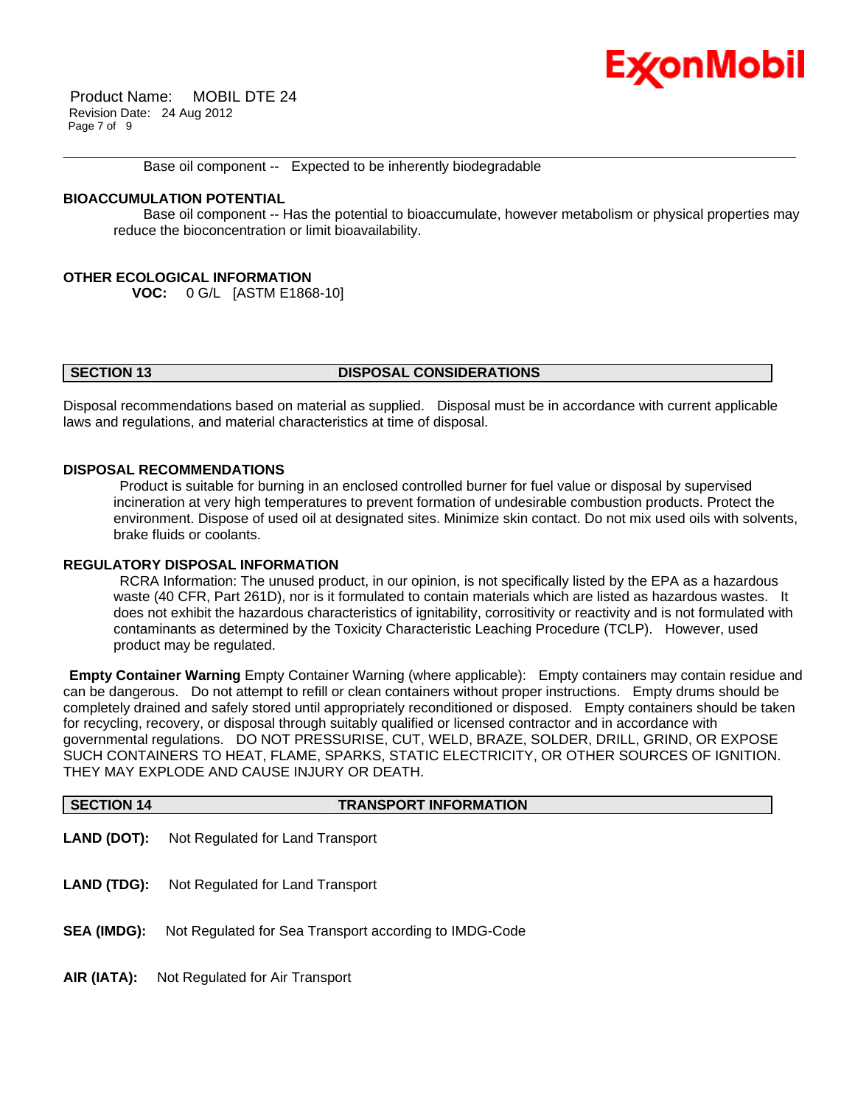## Ex⁄onMobil

 Product Name: MOBIL DTE 24 Revision Date: 24 Aug 2012 Page 7 of 9

Base oil component -- Expected to be inherently biodegradable

#### **BIOACCUMULATION POTENTIAL**

 Base oil component -- Has the potential to bioaccumulate, however metabolism or physical properties may reduce the bioconcentration or limit bioavailability.

\_\_\_\_\_\_\_\_\_\_\_\_\_\_\_\_\_\_\_\_\_\_\_\_\_\_\_\_\_\_\_\_\_\_\_\_\_\_\_\_\_\_\_\_\_\_\_\_\_\_\_\_\_\_\_\_\_\_\_\_\_\_\_\_\_\_\_\_\_\_\_\_\_\_\_\_\_\_\_\_\_\_\_\_\_\_\_\_\_\_\_\_\_\_\_\_\_\_\_\_\_\_\_\_\_\_\_\_\_\_\_\_\_\_\_\_\_\_

### **OTHER ECOLOGICAL INFORMATION**

**VOC:** 0 G/L [ASTM E1868-10]

#### **SECTION 13 DISPOSAL CONSIDERATIONS**

Disposal recommendations based on material as supplied. Disposal must be in accordance with current applicable laws and regulations, and material characteristics at time of disposal.

#### **DISPOSAL RECOMMENDATIONS**

 Product is suitable for burning in an enclosed controlled burner for fuel value or disposal by supervised incineration at very high temperatures to prevent formation of undesirable combustion products. Protect the environment. Dispose of used oil at designated sites. Minimize skin contact. Do not mix used oils with solvents, brake fluids or coolants.

#### **REGULATORY DISPOSAL INFORMATION**

 RCRA Information: The unused product, in our opinion, is not specifically listed by the EPA as a hazardous waste (40 CFR, Part 261D), nor is it formulated to contain materials which are listed as hazardous wastes. It does not exhibit the hazardous characteristics of ignitability, corrositivity or reactivity and is not formulated with contaminants as determined by the Toxicity Characteristic Leaching Procedure (TCLP). However, used product may be regulated.

**Empty Container Warning** Empty Container Warning (where applicable): Empty containers may contain residue and can be dangerous. Do not attempt to refill or clean containers without proper instructions. Empty drums should be completely drained and safely stored until appropriately reconditioned or disposed. Empty containers should be taken for recycling, recovery, or disposal through suitably qualified or licensed contractor and in accordance with governmental regulations. DO NOT PRESSURISE, CUT, WELD, BRAZE, SOLDER, DRILL, GRIND, OR EXPOSE SUCH CONTAINERS TO HEAT, FLAME, SPARKS, STATIC ELECTRICITY, OR OTHER SOURCES OF IGNITION. THEY MAY EXPLODE AND CAUSE INJURY OR DEATH.

| <b>SECTION 14</b>  | <b>TRANSPORT INFORMATION</b>                           |
|--------------------|--------------------------------------------------------|
| <b>LAND (DOT):</b> | Not Regulated for Land Transport                       |
| <b>LAND (TDG):</b> | Not Regulated for Land Transport                       |
| <b>SEA (IMDG):</b> | Not Regulated for Sea Transport according to IMDG-Code |
| AIR (IATA):        | Not Regulated for Air Transport                        |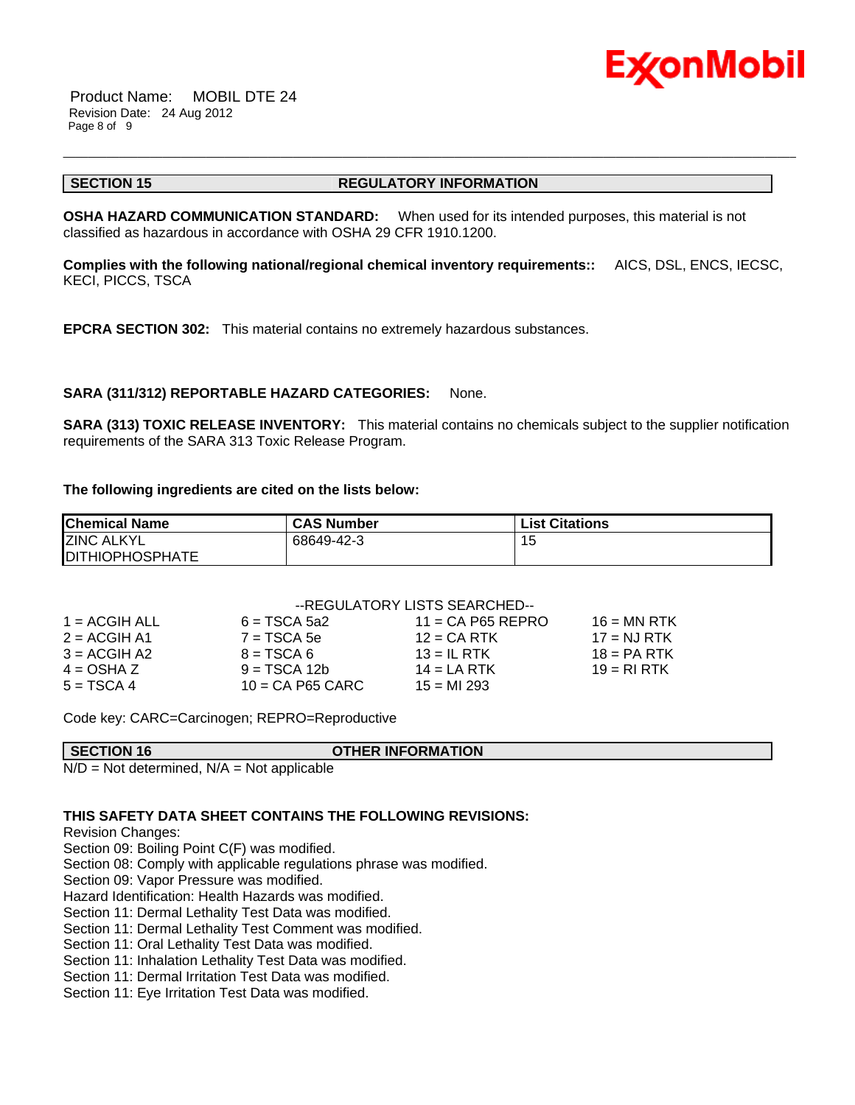

 Product Name: MOBIL DTE 24 Revision Date: 24 Aug 2012 Page 8 of 9

#### **SECTION 15 REGULATORY INFORMATION**

\_\_\_\_\_\_\_\_\_\_\_\_\_\_\_\_\_\_\_\_\_\_\_\_\_\_\_\_\_\_\_\_\_\_\_\_\_\_\_\_\_\_\_\_\_\_\_\_\_\_\_\_\_\_\_\_\_\_\_\_\_\_\_\_\_\_\_\_\_\_\_\_\_\_\_\_\_\_\_\_\_\_\_\_\_\_\_\_\_\_\_\_\_\_\_\_\_\_\_\_\_\_\_\_\_\_\_\_\_\_\_\_\_\_\_\_\_\_

**OSHA HAZARD COMMUNICATION STANDARD:** When used for its intended purposes, this material is not classified as hazardous in accordance with OSHA 29 CFR 1910.1200.

**Complies with the following national/regional chemical inventory requirements::** AICS, DSL, ENCS, IECSC, KECI, PICCS, TSCA

**EPCRA SECTION 302:** This material contains no extremely hazardous substances.

### **SARA (311/312) REPORTABLE HAZARD CATEGORIES:** None.

**SARA (313) TOXIC RELEASE INVENTORY:** This material contains no chemicals subject to the supplier notification requirements of the SARA 313 Toxic Release Program.

#### **The following ingredients are cited on the lists below:**

| <b>Chemical Name</b>    | <b>CAS Number</b> | <b>List Citations</b> |
|-------------------------|-------------------|-----------------------|
| <b>ZINC ALKYL</b>       | 68649-42-3        | כ: ו                  |
| <b>IDITHIOPHOSPHATE</b> |                   |                       |

### --REGULATORY LISTS SEARCHED--

| $1 = ACGIH ALL$ | $6 = TSCA 5a2$     | $11 = CA$ P65 REPRO | $16 = MN$ RTK |
|-----------------|--------------------|---------------------|---------------|
| $2 = ACGIH A1$  | $7 = TSCA$ 5e      | $12$ = CA RTK       | $17 = NJ RTK$ |
| $3 = ACGIH A2$  | $8 = TSCA6$        | $13 = IL$ RTK       | $18 = PA RTK$ |
| $4 = OSHA Z$    | $9 = TSCA 12b$     | $14 = LA RTK$       | $19 = R1 RTK$ |
| $5 = TSCA4$     | $10 = CA$ P65 CARC | $15 = M1 293$       |               |

Code key: CARC=Carcinogen; REPRO=Reproductive

|           | <b>SECTION 16</b> |   |  | <b>OTHER INFORMATION</b> |
|-----------|-------------------|---|--|--------------------------|
| $\ddotsc$ |                   | . |  |                          |

 $N/D = Not determined$ ,  $N/A = Not$  applicable

### **THIS SAFETY DATA SHEET CONTAINS THE FOLLOWING REVISIONS:**

Revision Changes:

Section 09: Boiling Point C(F) was modified.

Section 08: Comply with applicable regulations phrase was modified.

Section 09: Vapor Pressure was modified.

Hazard Identification: Health Hazards was modified.

Section 11: Dermal Lethality Test Data was modified.

Section 11: Dermal Lethality Test Comment was modified.

Section 11: Oral Lethality Test Data was modified.

Section 11: Inhalation Lethality Test Data was modified.

Section 11: Dermal Irritation Test Data was modified.

Section 11: Eye Irritation Test Data was modified.